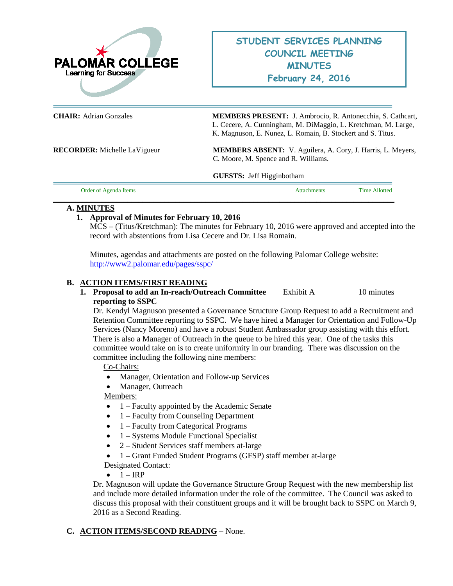

**CHAIR:** Adrian Gonzales **MEMBERS PRESENT:** J. Ambrocio, R. Antonecchia, S. Cathcart, L. Cecere, A. Cunningham, M. DiMaggio, L. Kretchman, M. Large, K. Magnuson, E. Nunez, L. Romain, B. Stockert and S. Titus.

**RECORDER:** Michelle LaVigueur **MEMBERS ABSENT:** V. Aguilera, A. Cory, J. Harris, L. Meyers, C. Moore, M. Spence and R. Williams.

**GUESTS:** Jeff Higginbotham

| Order of Agenda Items | ttachments | <b>Time Allotted</b> |
|-----------------------|------------|----------------------|
|                       |            |                      |

# **A. MINUTES**

# **1. Approval of Minutes for February 10, 2016**

MCS – (Titus/Kretchman): The minutes for February 10, 2016 were approved and accepted into the record with abstentions from Lisa Cecere and Dr. Lisa Romain.

Minutes, agendas and attachments are posted on the following Palomar College website: <http://www2.palomar.edu/pages/sspc/>

### **B. ACTION ITEMS/FIRST READING**

# **1. Proposal to add an In-reach/Outreach Committee** Exhibit A 10 minutes **reporting to SSPC**

Dr. Kendyl Magnuson presented a Governance Structure Group Request to add a Recruitment and Retention Committee reporting to SSPC. We have hired a Manager for Orientation and Follow-Up Services (Nancy Moreno) and have a robust Student Ambassador group assisting with this effort. There is also a Manager of Outreach in the queue to be hired this year. One of the tasks this committee would take on is to create uniformity in our branding. There was discussion on the committee including the following nine members:

### Co-Chairs:

- Manager, Orientation and Follow-up Services
- Manager, Outreach

Members:

- 1 Faculty appointed by the Academic Senate
- 1 Faculty from Counseling Department
- 1 Faculty from Categorical Programs
- 1 Systems Module Functional Specialist
- 2 Student Services staff members at-large
- 1 Grant Funded Student Programs (GFSP) staff member at-large

Designated Contact:

#### $\bullet$  1 – IRP

Dr. Magnuson will update the Governance Structure Group Request with the new membership list and include more detailed information under the role of the committee. The Council was asked to discuss this proposal with their constituent groups and it will be brought back to SSPC on March 9, 2016 as a Second Reading.

# **C. ACTION ITEMS/SECOND READING** – None.